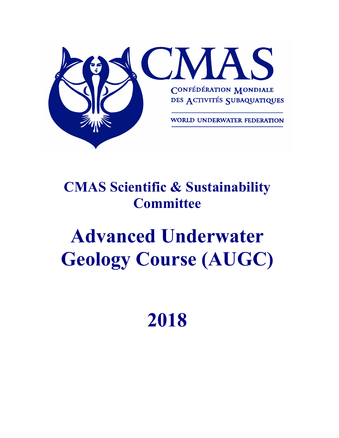

## **CMAS Scientific & Sustainability Committee**

# **Advanced Underwater Geology Course (AUGC)**

# **2018**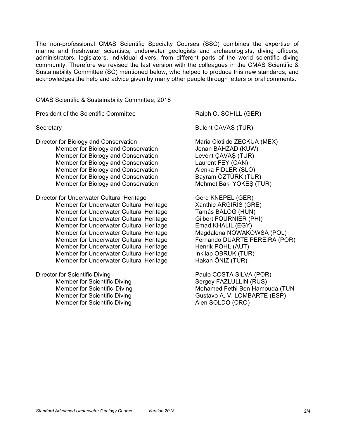The non-professional CMAS Scientific Specialty Courses (SSC) combines the expertise of marine and freshwater scientists, underwater geologists and archaeologists, diving officers, administrators, legislators, individual divers, from different parts of the world scientific diving community. Therefore we revised the last version with the colleagues in the CMAS Scientific & Sustainability Committee (SC) mentioned below, who helped to produce this new standards, and acknowledges the help and advice given by many other people through letters or oral comments.

CMAS Scientific & Sustainability Committee, 2018

President of the Scientific Committee **Ralph O. SCHILL (GER)** 

- Director for Biology and Conservation Maria Clotilde ZECKUA (MEX) Member for Biology and Conservation Jenan BAHZAD (KUW) Member for Biology and Conservation Levent CAVAS (TUR) Member for Biology and Conservation **Laurent FEY (CAN)** Member for Biology and Conservation **Alenka FIDLER** (SLO) Member for Biology and Conservation Bayram ÖZTÜRK (TUR) Member for Biology and Conservation Mehmet Baki YOKES (TUR)
- Director for Underwater Cultural Heritage Gerd KNEPEL (GER) Member for Underwater Cultural Heritage Xanthie ARGIRIS (GRE) Member for Underwater Cultural Heritage Tamás BALOG (HUN) Member for Underwater Cultural Heritage Gilbert FOURNIER (PHI) Member for Underwater Cultural Heritage Emad KHALIL (EGY) Member for Underwater Cultural Heritage Magdalena NOWAKOWSA (POL) Member for Underwater Cultural Heritage Fernando DUARTE PEREIRA (POR) Member for Underwater Cultural Heritage Henrik POHL (AUT) Member for Underwater Cultural Heritage Inkilap OBRUK (TUR) Member for Underwater Cultural Heritage Hakan ÖNIZ (TUR)
- 

Member for Scientific Diving The Control of Alen SOLDO (CRO)

Secretary Bulent CAVAS (TUR)

Director for Scientific Diving Paulo COSTA SILVA (POR) Member for Scientific Diving Sergey FAZLULLIN (RUS) Member for Scientific Diving The Mohamed Fethi Ben Hamouda (TUN Member for Scientific Diving Gustavo A. V. LOMBARTE (ESP)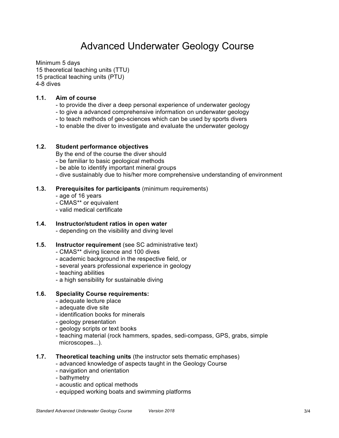### Advanced Underwater Geology Course

Minimum 5 days 15 theoretical teaching units (TTU) 15 practical teaching units (PTU) 4-8 dives

#### **1.1. Aim of course**

- to provide the diver a deep personal experience of underwater geology
- to give a advanced comprehensive information on underwater geology
- to teach methods of geo-sciences which can be used by sports divers
- to enable the diver to investigate and evaluate the underwater geology

#### **1.2. Student performance objectives**

By the end of the course the diver should

- be familiar to basic geological methods
- be able to identify important mineral groups
- dive sustainably due to his/her more comprehensive understanding of environment

#### **1.3. Prerequisites for participants** (minimum requirements)

- age of 16 years
- CMAS\*\* or equivalent
- valid medical certificate

### **1.4. Instructor/student ratios in open water**

- depending on the visibility and diving level

#### **1.5. Instructor requirement** (see SC administrative text)

- CMAS\*\* diving licence and 100 dives
- academic background in the respective field, or
- several years professional experience in geology
- teaching abilities
- a high sensibility for sustainable diving

#### **1.6. Speciality Course requirements:**

- adequate lecture place
- adequate dive site
- identification books for minerals
- geology presentation
- geology scripts or text books
- teaching material (rock hammers, spades, sedi-compass, GPS, grabs, simple microscopes...).

#### **1.7. Theoretical teaching units** (the instructor sets thematic emphases)

- advanced knowledge of aspects taught in the Geology Course
- navigation and orientation
- bathymetry
- acoustic and optical methods
- equipped working boats and swimming platforms